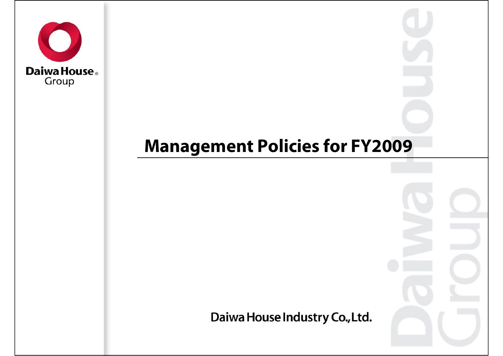

## **Management Policies for FY2009**

Daiwa House Industry Co., Ltd.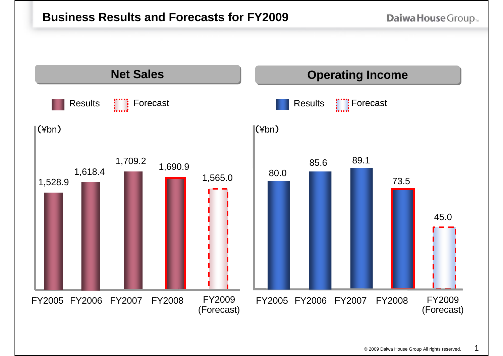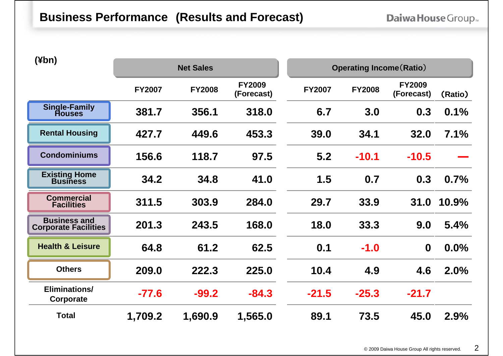| (¥bn)                                              | <b>Net Sales</b> |               | <b>Operating Income (Ratio)</b> |               |               |                             |         |
|----------------------------------------------------|------------------|---------------|---------------------------------|---------------|---------------|-----------------------------|---------|
|                                                    | <b>FY2007</b>    | <b>FY2008</b> | <b>FY2009</b><br>(Forecast)     | <b>FY2007</b> | <b>FY2008</b> | <b>FY2009</b><br>(Forecast) | (Ratio) |
| <b>Single-Family</b><br><b>Houses</b>              | 381.7            | 356.1         | 318.0                           | 6.7           | 3.0           | 0.3                         | 0.1%    |
| <b>Rental Housing</b>                              | 427.7            | 449.6         | 453.3                           | 39.0          | 34.1          | 32.0                        | 7.1%    |
| <b>Condominiums</b>                                | 156.6            | 118.7         | 97.5                            | 5.2           | $-10.1$       | $-10.5$                     |         |
| <b>Existing Home</b><br><b>Business</b>            | 34.2             | 34.8          | 41.0                            | 1.5           | 0.7           | 0.3                         | 0.7%    |
| <b>Commercial</b><br><b>Facilities</b>             | 311.5            | 303.9         | 284.0                           | 29.7          | 33.9          | 31.0                        | 10.9%   |
| <b>Business and</b><br><b>Corporate Facilities</b> | 201.3            | 243.5         | 168.0                           | 18.0          | 33.3          | 9.0                         | 5.4%    |
| <b>Health &amp; Leisure</b>                        | 64.8             | 61.2          | 62.5                            | 0.1           | $-1.0$        | $\mathbf 0$                 | 0.0%    |
| <b>Others</b>                                      | 209.0            | 222.3         | 225.0                           | 10.4          | 4.9           | 4.6                         | 2.0%    |
| Eliminations/<br>Corporate                         | $-77.6$          | $-99.2$       | $-84.3$                         | $-21.5$       | $-25.3$       | $-21.7$                     |         |
| <b>Total</b>                                       | 1,709.2          | 1,690.9       | 1,565.0                         | 89.1          | 73.5          | 45.0                        | 2.9%    |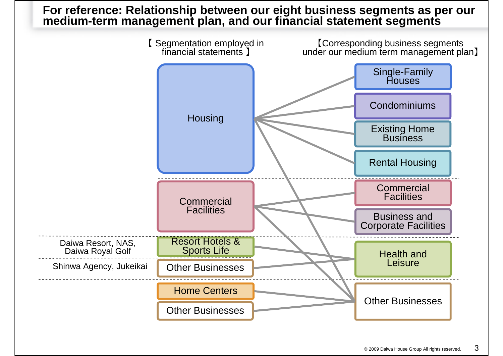# **For reference: Relationship between our eight business segments as per our medium-term management plan, and our financial statement segments**

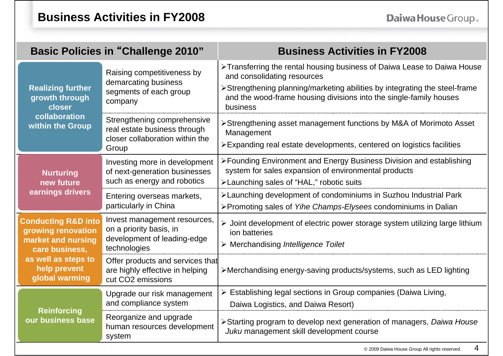7

|                                                                                              | <b>Basic Policies in "Challenge 2010"</b>                                                               | <b>Business Activities in FY2008</b>                                                                                                                                                                                                                                   |  |  |  |
|----------------------------------------------------------------------------------------------|---------------------------------------------------------------------------------------------------------|------------------------------------------------------------------------------------------------------------------------------------------------------------------------------------------------------------------------------------------------------------------------|--|--|--|
| <b>Realizing further</b><br>growth through<br>closer                                         | Raising competitiveness by<br>demarcating business<br>segments of each group<br>company                 | >Transferring the rental housing business of Daiwa Lease to Daiwa House<br>and consolidating resources<br>≻Strengthening planning/marketing abilities by integrating the steel-frame<br>and the wood-frame housing divisions into the single-family houses<br>business |  |  |  |
| collaboration<br>within the Group                                                            | Strengthening comprehensive<br>real estate business through<br>closer collaboration within the<br>Group | ≻Strengthening asset management functions by M&A of Morimoto Asset<br>Management<br>≻Expanding real estate developments, centered on logistics facilities                                                                                                              |  |  |  |
| <b>Nurturing</b><br>new future<br>earnings drivers                                           | Investing more in development<br>of next-generation businesses<br>such as energy and robotics           | ≻Founding Environment and Energy Business Division and establishing<br>system for sales expansion of environmental products<br>>Launching sales of "HAL," robotic suits                                                                                                |  |  |  |
|                                                                                              | Entering overseas markets,<br>particularly in China                                                     | >Launching development of condominiums in Suzhou Industrial Park<br>>Promoting sales of Yihe Champs-Elysees condominiums in Dalian                                                                                                                                     |  |  |  |
| <b>Conducting R&amp;D into</b><br>growing renovation<br>market and nursing<br>care business, | Invest management resources,<br>on a priority basis, in<br>development of leading-edge<br>technologies  | $\triangleright$ Joint development of electric power storage system utilizing large lithium<br>ion batteries<br>$\triangleright$ Merchandising Intelligence Toilet                                                                                                     |  |  |  |
| as well as steps to<br>help prevent<br>global warming                                        | Offer products and services that<br>are highly effective in helping<br>cut CO2 emissions                | >Merchandising energy-saving products/systems, such as LED lighting                                                                                                                                                                                                    |  |  |  |
| <b>Reinforcing</b><br>our business base                                                      | Upgrade our risk management<br>and compliance system                                                    | $\triangleright$ Establishing legal sections in Group companies (Daiwa Living,<br>Daiwa Logistics, and Daiwa Resort)                                                                                                                                                   |  |  |  |
|                                                                                              | Reorganize and upgrade<br>human resources development<br>system                                         | >Starting program to develop next generation of managers, Daiwa House<br>Juku management skill development course                                                                                                                                                      |  |  |  |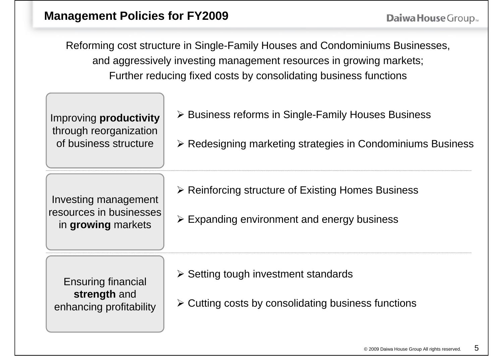Reforming cost structure in Single-Family Houses and Condominiums Businesses, and aggressively investing management resources in growing markets; Further reducing fixed costs by consolidating business functions

| Improving productivity<br>through reorganization<br>of business structure | $\triangleright$ Business reforms in Single-Family Houses Business<br>$\triangleright$ Redesigning marketing strategies in Condominiums Business |
|---------------------------------------------------------------------------|--------------------------------------------------------------------------------------------------------------------------------------------------|
| Investing management<br>resources in businesses<br>in growing markets     | $\triangleright$ Reinforcing structure of Existing Homes Business<br>$\triangleright$ Expanding environment and energy business                  |
| <b>Ensuring financial</b><br>strength and<br>enhancing profitability      | $\triangleright$ Setting tough investment standards<br>$\triangleright$ Cutting costs by consolidating business functions                        |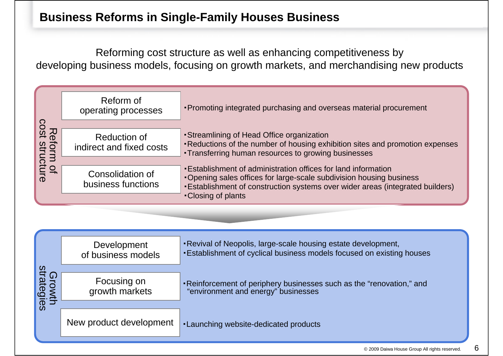Reforming cost structure as well as enhancing competitiveness by developing business models, focusing on growth markets, and merchandising new products

|                             | Reform of<br>operating processes                | • Promoting integrated purchasing and overseas material procurement                                                                                                                                                     |
|-----------------------------|-------------------------------------------------|-------------------------------------------------------------------------------------------------------------------------------------------------------------------------------------------------------------------------|
|                             |                                                 |                                                                                                                                                                                                                         |
| Reform of<br>cost structure | <b>Reduction of</b><br>indirect and fixed costs | • Streamlining of Head Office organization<br>. Reductions of the number of housing exhibition sites and promotion expenses<br>• Transferring human resources to growing businesses                                     |
|                             |                                                 |                                                                                                                                                                                                                         |
|                             | Consolidation of<br>business functions          | • Establishment of administration offices for land information<br>•Opening sales offices for large-scale subdivision housing business<br>. Establishment of construction systems over wider areas (integrated builders) |
|                             |                                                 | •Closing of plants                                                                                                                                                                                                      |

|                      | Development<br>of business models | . Revival of Neopolis, large-scale housing estate development,<br><b>Establishment of cyclical business models focused on existing houses</b> |
|----------------------|-----------------------------------|-----------------------------------------------------------------------------------------------------------------------------------------------|
| Growth<br>strategies | Focusing on<br>growth markets     | • Reinforcement of periphery businesses such as the "renovation," and "environment and energy" businesses                                     |
|                      | New product development           | <b>-Launching website-dedicated products</b>                                                                                                  |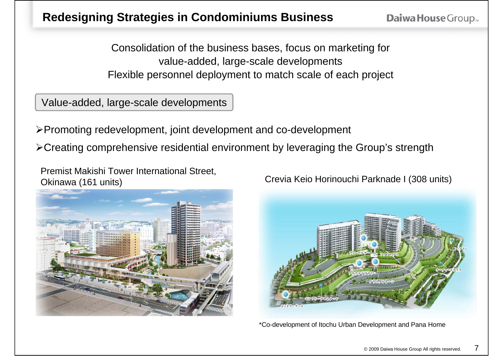**Daiwa House Group** 

Consolidation of the business bases, focus on marketing for value-added, large-scale developments Flexible personnel deployment to match scale of each project

Value-added, large-scale developments

Promoting redevelopment, joint development and co-development

Creating comprehensive residential environment by leveraging the Group's strength

Premist Makishi Tower International Street, Okinawa (161 units) Crevia Keio Horinouchi Parknade I (308 units)



\*Co-development of Itochu Urban Development and Pana Home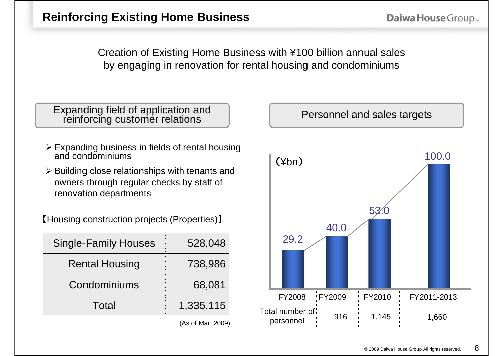Creation of Existing Home Business with ¥100 billion annual sales by engaging in renovation for rental housing and condominiums

Expanding field of application and reinforcing customer relations  $\begin{bmatrix} p \end{bmatrix}$  Personnel and sales targets

- Expanding business in fields of rental housing and condominiums
- $\triangleright$  Building close relationships with tenants and owners through regular checks by staff of renovation departments

【Housing construction projects (Properties) 】

| <b>Single-Family Houses</b> | 528,048        |
|-----------------------------|----------------|
| <b>Rental Housing</b>       | 738,986        |
| Condominiums                | 68,081         |
| Total                       | 1,335,115      |
|                             | (0.251122.000) |

(As of Mar. 2009)

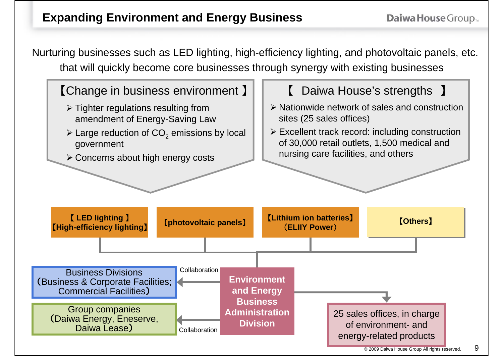Nurturing businesses such as LED lighting, high-efficiency lighting, and photovoltaic panels, etc. that will quickly become core businesses through synergy with existing businesses

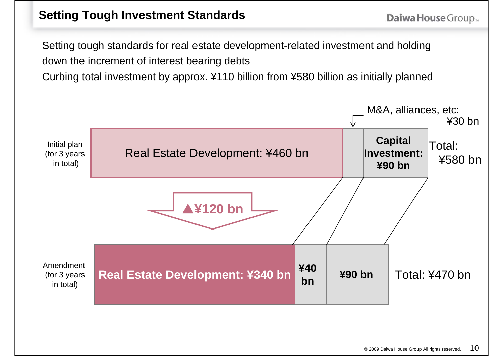Setting tough standards for real estate development-related investment and holding down the increment of interest bearing debts

Curbing total investment by approx. ¥110 billion from ¥580 billion as initially planned